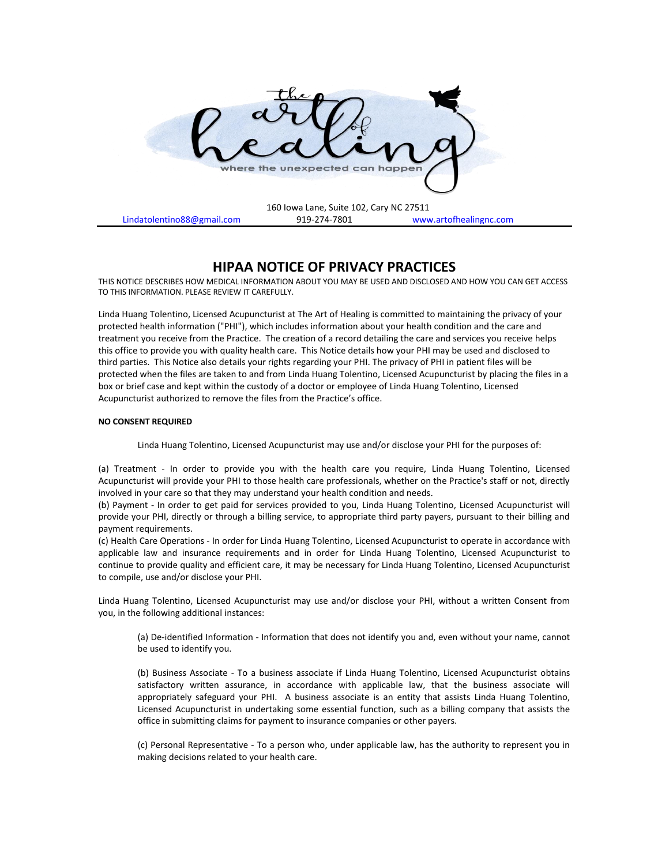

# **HIPAA NOTICE OF PRIVACY PRACTICES**

THIS NOTICE DESCRIBES HOW MEDICAL INFORMATION ABOUT YOU MAY BE USED AND DISCLOSED AND HOW YOU CAN GET ACCESS TO THIS INFORMATION. PLEASE REVIEW IT CAREFULLY.

Linda Huang Tolentino, Licensed Acupuncturist at The Art of Healing is committed to maintaining the privacy of your protected health information ("PHI"), which includes information about your health condition and the care and treatment you receive from the Practice. The creation of a record detailing the care and services you receive helps this office to provide you with quality health care. This Notice details how your PHI may be used and disclosed to third parties. This Notice also details your rights regarding your PHI. The privacy of PHI in patient files will be protected when the files are taken to and from Linda Huang Tolentino, Licensed Acupuncturist by placing the files in a box or brief case and kept within the custody of a doctor or employee of Linda Huang Tolentino, Licensed Acupuncturist authorized to remove the files from the Practice's office.

## **NO CONSENT REQUIRED**

Linda Huang Tolentino, Licensed Acupuncturist may use and/or disclose your PHI for the purposes of:

(a) Treatment - In order to provide you with the health care you require, Linda Huang Tolentino, Licensed Acupuncturist will provide your PHI to those health care professionals, whether on the Practice's staff or not, directly involved in your care so that they may understand your health condition and needs.

(b) Payment - In order to get paid for services provided to you, Linda Huang Tolentino, Licensed Acupuncturist will provide your PHI, directly or through a billing service, to appropriate third party payers, pursuant to their billing and payment requirements.

(c) Health Care Operations - In order for Linda Huang Tolentino, Licensed Acupuncturist to operate in accordance with applicable law and insurance requirements and in order for Linda Huang Tolentino, Licensed Acupuncturist to continue to provide quality and efficient care, it may be necessary for Linda Huang Tolentino, Licensed Acupuncturist to compile, use and/or disclose your PHI.

Linda Huang Tolentino, Licensed Acupuncturist may use and/or disclose your PHI, without a written Consent from you, in the following additional instances:

(a) De-identified Information - Information that does not identify you and, even without your name, cannot be used to identify you.

(b) Business Associate - To a business associate if Linda Huang Tolentino, Licensed Acupuncturist obtains satisfactory written assurance, in accordance with applicable law, that the business associate will appropriately safeguard your PHI. A business associate is an entity that assists Linda Huang Tolentino, Licensed Acupuncturist in undertaking some essential function, such as a billing company that assists the office in submitting claims for payment to insurance companies or other payers.

(c) Personal Representative - To a person who, under applicable law, has the authority to represent you in making decisions related to your health care.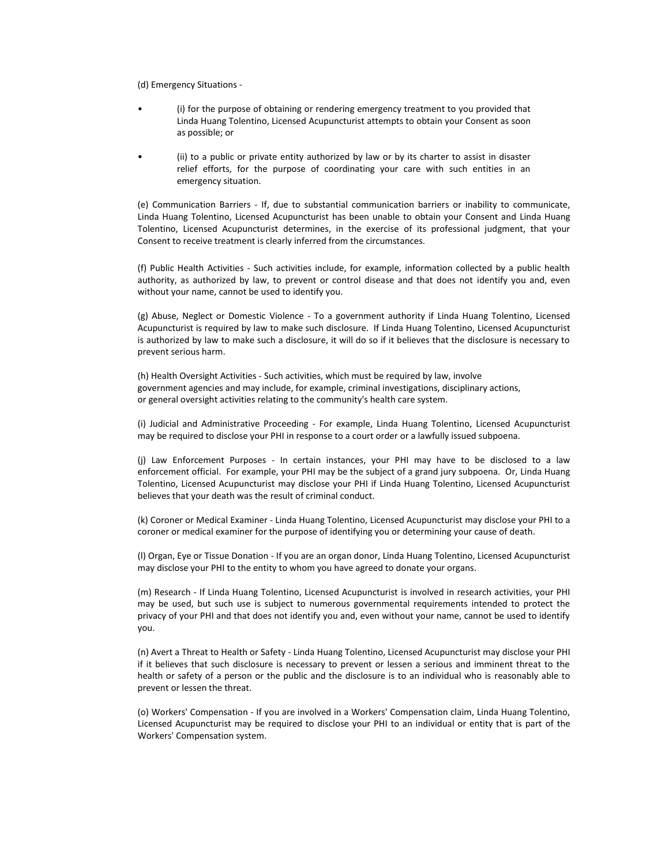(d) Emergency Situations -

- (i) for the purpose of obtaining or rendering emergency treatment to you provided that Linda Huang Tolentino, Licensed Acupuncturist attempts to obtain your Consent as soon as possible; or
- (ii) to a public or private entity authorized by law or by its charter to assist in disaster relief efforts, for the purpose of coordinating your care with such entities in an emergency situation.

(e) Communication Barriers - If, due to substantial communication barriers or inability to communicate, Linda Huang Tolentino, Licensed Acupuncturist has been unable to obtain your Consent and Linda Huang Tolentino, Licensed Acupuncturist determines, in the exercise of its professional judgment, that your Consent to receive treatment is clearly inferred from the circumstances.

(f) Public Health Activities - Such activities include, for example, information collected by a public health authority, as authorized by law, to prevent or control disease and that does not identify you and, even without your name, cannot be used to identify you.

(g) Abuse, Neglect or Domestic Violence - To a government authority if Linda Huang Tolentino, Licensed Acupuncturist is required by law to make such disclosure. If Linda Huang Tolentino, Licensed Acupuncturist is authorized by law to make such a disclosure, it will do so if it believes that the disclosure is necessary to prevent serious harm.

(h) Health Oversight Activities - Such activities, which must be required by law, involve government agencies and may include, for example, criminal investigations, disciplinary actions, or general oversight activities relating to the community's health care system.

(i) Judicial and Administrative Proceeding - For example, Linda Huang Tolentino, Licensed Acupuncturist may be required to disclose your PHI in response to a court order or a lawfully issued subpoena.

(j) Law Enforcement Purposes - In certain instances, your PHI may have to be disclosed to a law enforcement official. For example, your PHI may be the subject of a grand jury subpoena. Or, Linda Huang Tolentino, Licensed Acupuncturist may disclose your PHI if Linda Huang Tolentino, Licensed Acupuncturist believes that your death was the result of criminal conduct.

(k) Coroner or Medical Examiner - Linda Huang Tolentino, Licensed Acupuncturist may disclose your PHI to a coroner or medical examiner for the purpose of identifying you or determining your cause of death.

(l) Organ, Eye or Tissue Donation - If you are an organ donor, Linda Huang Tolentino, Licensed Acupuncturist may disclose your PHI to the entity to whom you have agreed to donate your organs.

(m) Research - If Linda Huang Tolentino, Licensed Acupuncturist is involved in research activities, your PHI may be used, but such use is subject to numerous governmental requirements intended to protect the privacy of your PHI and that does not identify you and, even without your name, cannot be used to identify you.

(n) Avert a Threat to Health or Safety - Linda Huang Tolentino, Licensed Acupuncturist may disclose your PHI if it believes that such disclosure is necessary to prevent or lessen a serious and imminent threat to the health or safety of a person or the public and the disclosure is to an individual who is reasonably able to prevent or lessen the threat.

(o) Workers' Compensation - If you are involved in a Workers' Compensation claim, Linda Huang Tolentino, Licensed Acupuncturist may be required to disclose your PHI to an individual or entity that is part of the Workers' Compensation system.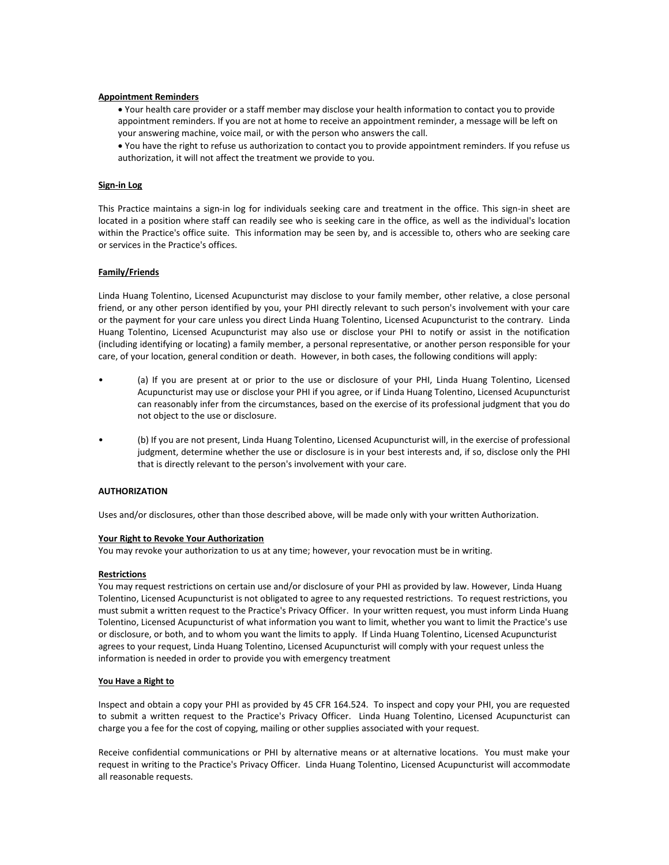## **Appointment Reminders**

• Your health care provider or a staff member may disclose your health information to contact you to provide appointment reminders. If you are not at home to receive an appointment reminder, a message will be left on your answering machine, voice mail, or with the person who answers the call.

• You have the right to refuse us authorization to contact you to provide appointment reminders. If you refuse us authorization, it will not affect the treatment we provide to you.

#### **Sign-in Log**

This Practice maintains a sign-in log for individuals seeking care and treatment in the office. This sign-in sheet are located in a position where staff can readily see who is seeking care in the office, as well as the individual's location within the Practice's office suite. This information may be seen by, and is accessible to, others who are seeking care or services in the Practice's offices.

## **Family/Friends**

Linda Huang Tolentino, Licensed Acupuncturist may disclose to your family member, other relative, a close personal friend, or any other person identified by you, your PHI directly relevant to such person's involvement with your care or the payment for your care unless you direct Linda Huang Tolentino, Licensed Acupuncturist to the contrary. Linda Huang Tolentino, Licensed Acupuncturist may also use or disclose your PHI to notify or assist in the notification (including identifying or locating) a family member, a personal representative, or another person responsible for your care, of your location, general condition or death. However, in both cases, the following conditions will apply:

- (a) If you are present at or prior to the use or disclosure of your PHI, Linda Huang Tolentino, Licensed Acupuncturist may use or disclose your PHI if you agree, or if Linda Huang Tolentino, Licensed Acupuncturist can reasonably infer from the circumstances, based on the exercise of its professional judgment that you do not object to the use or disclosure.
- (b) If you are not present, Linda Huang Tolentino, Licensed Acupuncturist will, in the exercise of professional judgment, determine whether the use or disclosure is in your best interests and, if so, disclose only the PHI that is directly relevant to the person's involvement with your care.

## **AUTHORIZATION**

Uses and/or disclosures, other than those described above, will be made only with your written Authorization.

#### **Your Right to Revoke Your Authorization**

You may revoke your authorization to us at any time; however, your revocation must be in writing.

#### **Restrictions**

You may request restrictions on certain use and/or disclosure of your PHI as provided by law. However, Linda Huang Tolentino, Licensed Acupuncturist is not obligated to agree to any requested restrictions. To request restrictions, you must submit a written request to the Practice's Privacy Officer. In your written request, you must inform Linda Huang Tolentino, Licensed Acupuncturist of what information you want to limit, whether you want to limit the Practice's use or disclosure, or both, and to whom you want the limits to apply. If Linda Huang Tolentino, Licensed Acupuncturist agrees to your request, Linda Huang Tolentino, Licensed Acupuncturist will comply with your request unless the information is needed in order to provide you with emergency treatment

#### **You Have a Right to**

Inspect and obtain a copy your PHI as provided by 45 CFR 164.524. To inspect and copy your PHI, you are requested to submit a written request to the Practice's Privacy Officer. Linda Huang Tolentino, Licensed Acupuncturist can charge you a fee for the cost of copying, mailing or other supplies associated with your request.

Receive confidential communications or PHI by alternative means or at alternative locations. You must make your request in writing to the Practice's Privacy Officer. Linda Huang Tolentino, Licensed Acupuncturist will accommodate all reasonable requests.